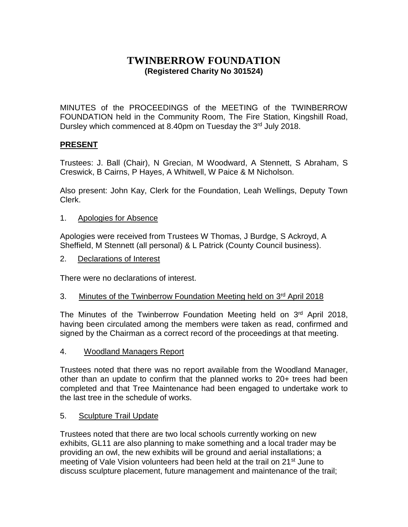## **TWINBERROW FOUNDATION (Registered Charity No 301524)**

MINUTES of the PROCEEDINGS of the MEETING of the TWINBERROW FOUNDATION held in the Community Room, The Fire Station, Kingshill Road, Dursley which commenced at 8.40pm on Tuesday the 3rd July 2018.

## **PRESENT**

Trustees: J. Ball (Chair), N Grecian, M Woodward, A Stennett, S Abraham, S Creswick, B Cairns, P Hayes, A Whitwell, W Paice & M Nicholson.

Also present: John Kay, Clerk for the Foundation, Leah Wellings, Deputy Town Clerk.

1. Apologies for Absence

Apologies were received from Trustees W Thomas, J Burdge, S Ackroyd, A Sheffield, M Stennett (all personal) & L Patrick (County Council business).

2. Declarations of Interest

There were no declarations of interest.

3. Minutes of the Twinberrow Foundation Meeting held on 3<sup>rd</sup> April 2018

The Minutes of the Twinberrow Foundation Meeting held on 3rd April 2018, having been circulated among the members were taken as read, confirmed and signed by the Chairman as a correct record of the proceedings at that meeting.

4. Woodland Managers Report

Trustees noted that there was no report available from the Woodland Manager, other than an update to confirm that the planned works to 20+ trees had been completed and that Tree Maintenance had been engaged to undertake work to the last tree in the schedule of works.

## 5. Sculpture Trail Update

Trustees noted that there are two local schools currently working on new exhibits, GL11 are also planning to make something and a local trader may be providing an owl, the new exhibits will be ground and aerial installations; a meeting of Vale Vision volunteers had been held at the trail on 21<sup>st</sup> June to discuss sculpture placement, future management and maintenance of the trail;